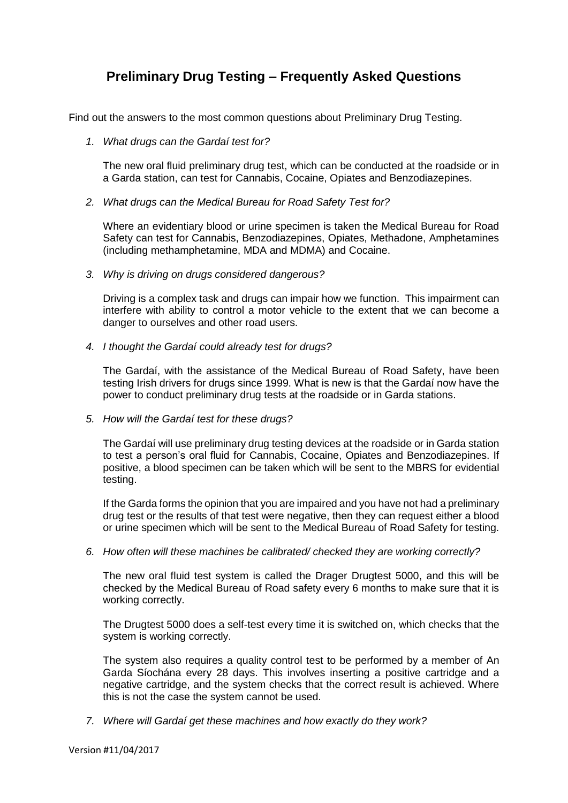## **Preliminary Drug Testing – Frequently Asked Questions**

Find out the answers to the most common questions about Preliminary Drug Testing.

*1. What drugs can the Gardaí test for?*

The new oral fluid preliminary drug test, which can be conducted at the roadside or in a Garda station, can test for Cannabis, Cocaine, Opiates and Benzodiazepines.

*2. What drugs can the Medical Bureau for Road Safety Test for?*

Where an evidentiary blood or urine specimen is taken the Medical Bureau for Road Safety can test for Cannabis, Benzodiazepines, Opiates, Methadone, Amphetamines (including methamphetamine, MDA and MDMA) and Cocaine.

*3. Why is driving on drugs considered dangerous?*

Driving is a complex task and drugs can impair how we function. This impairment can interfere with ability to control a motor vehicle to the extent that we can become a danger to ourselves and other road users.

*4. I thought the Gardaí could already test for drugs?*

The Gardaí, with the assistance of the Medical Bureau of Road Safety, have been testing Irish drivers for drugs since 1999. What is new is that the Gardaí now have the power to conduct preliminary drug tests at the roadside or in Garda stations.

*5. How will the Gardaí test for these drugs?*

The Gardaí will use preliminary drug testing devices at the roadside or in Garda station to test a person's oral fluid for Cannabis, Cocaine, Opiates and Benzodiazepines. If positive, a blood specimen can be taken which will be sent to the MBRS for evidential testing.

If the Garda forms the opinion that you are impaired and you have not had a preliminary drug test or the results of that test were negative, then they can request either a blood or urine specimen which will be sent to the Medical Bureau of Road Safety for testing.

*6. How often will these machines be calibrated/ checked they are working correctly?*

The new oral fluid test system is called the Drager Drugtest 5000, and this will be checked by the Medical Bureau of Road safety every 6 months to make sure that it is working correctly.

The Drugtest 5000 does a self-test every time it is switched on, which checks that the system is working correctly.

The system also requires a quality control test to be performed by a member of An Garda Síochána every 28 days. This involves inserting a positive cartridge and a negative cartridge, and the system checks that the correct result is achieved. Where this is not the case the system cannot be used.

*7. Where will Gardaí get these machines and how exactly do they work?*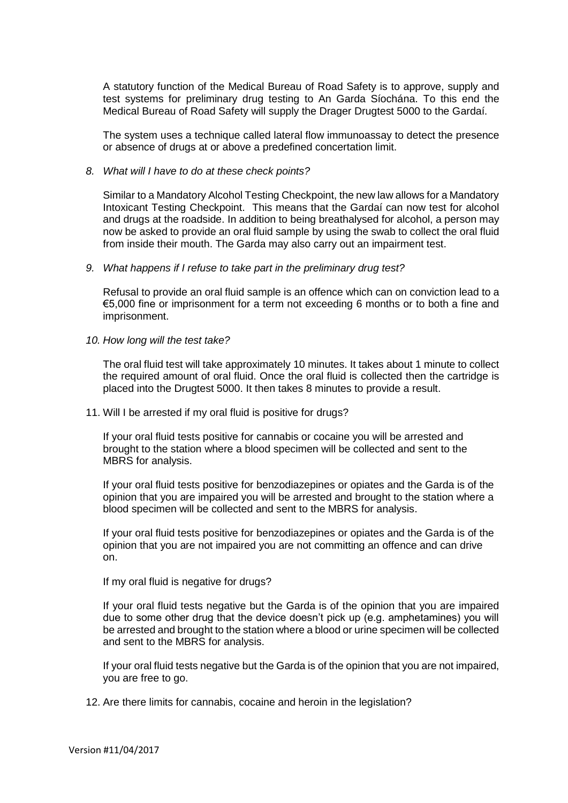A statutory function of the Medical Bureau of Road Safety is to approve, supply and test systems for preliminary drug testing to An Garda Síochána. To this end the Medical Bureau of Road Safety will supply the Drager Drugtest 5000 to the Gardaí.

The system uses a technique called lateral flow immunoassay to detect the presence or absence of drugs at or above a predefined concertation limit.

## *8. What will I have to do at these check points?*

Similar to a Mandatory Alcohol Testing Checkpoint, the new law allows for a Mandatory Intoxicant Testing Checkpoint. This means that the Gardaí can now test for alcohol and drugs at the roadside. In addition to being breathalysed for alcohol, a person may now be asked to provide an oral fluid sample by using the swab to collect the oral fluid from inside their mouth. The Garda may also carry out an impairment test.

## *9. What happens if I refuse to take part in the preliminary drug test?*

Refusal to provide an oral fluid sample is an offence which can on conviction lead to a €5,000 fine or imprisonment for a term not exceeding 6 months or to both a fine and imprisonment.

*10. How long will the test take?* 

The oral fluid test will take approximately 10 minutes. It takes about 1 minute to collect the required amount of oral fluid. Once the oral fluid is collected then the cartridge is placed into the Drugtest 5000. It then takes 8 minutes to provide a result.

11. Will I be arrested if my oral fluid is positive for drugs?

If your oral fluid tests positive for cannabis or cocaine you will be arrested and brought to the station where a blood specimen will be collected and sent to the MBRS for analysis.

If your oral fluid tests positive for benzodiazepines or opiates and the Garda is of the opinion that you are impaired you will be arrested and brought to the station where a blood specimen will be collected and sent to the MBRS for analysis.

If your oral fluid tests positive for benzodiazepines or opiates and the Garda is of the opinion that you are not impaired you are not committing an offence and can drive on.

If my oral fluid is negative for drugs?

If your oral fluid tests negative but the Garda is of the opinion that you are impaired due to some other drug that the device doesn't pick up (e.g. amphetamines) you will be arrested and brought to the station where a blood or urine specimen will be collected and sent to the MBRS for analysis.

If your oral fluid tests negative but the Garda is of the opinion that you are not impaired, you are free to go.

12. Are there limits for cannabis, cocaine and heroin in the legislation?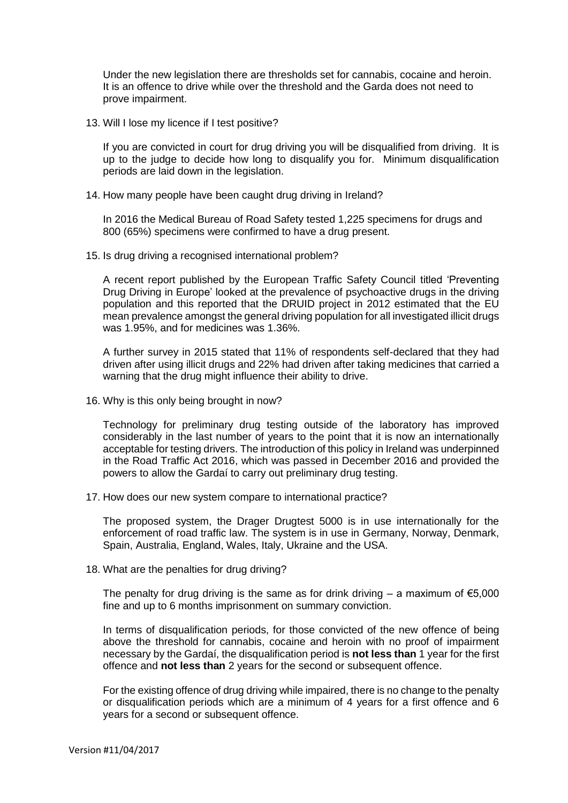Under the new legislation there are thresholds set for cannabis, cocaine and heroin. It is an offence to drive while over the threshold and the Garda does not need to prove impairment.

13. Will I lose my licence if I test positive?

If you are convicted in court for drug driving you will be disqualified from driving. It is up to the judge to decide how long to disqualify you for. Minimum disqualification periods are laid down in the legislation.

14. How many people have been caught drug driving in Ireland?

In 2016 the Medical Bureau of Road Safety tested 1,225 specimens for drugs and 800 (65%) specimens were confirmed to have a drug present.

15. Is drug driving a recognised international problem?

A recent report published by the European Traffic Safety Council titled 'Preventing Drug Driving in Europe' looked at the prevalence of psychoactive drugs in the driving population and this reported that the DRUID project in 2012 estimated that the EU mean prevalence amongst the general driving population for all investigated illicit drugs was 1.95%, and for medicines was 1.36%.

A further survey in 2015 stated that 11% of respondents self-declared that they had driven after using illicit drugs and 22% had driven after taking medicines that carried a warning that the drug might influence their ability to drive.

16. Why is this only being brought in now?

Technology for preliminary drug testing outside of the laboratory has improved considerably in the last number of years to the point that it is now an internationally acceptable for testing drivers. The introduction of this policy in Ireland was underpinned in the Road Traffic Act 2016, which was passed in December 2016 and provided the powers to allow the Gardaí to carry out preliminary drug testing.

17. How does our new system compare to international practice?

The proposed system, the Drager Drugtest 5000 is in use internationally for the enforcement of road traffic law. The system is in use in Germany, Norway, Denmark, Spain, Australia, England, Wales, Italy, Ukraine and the USA.

18. What are the penalties for drug driving?

The penalty for drug driving is the same as for drink driving – a maximum of  $\epsilon$ 5,000 fine and up to 6 months imprisonment on summary conviction.

In terms of disqualification periods, for those convicted of the new offence of being above the threshold for cannabis, cocaine and heroin with no proof of impairment necessary by the Gardaí, the disqualification period is **not less than** 1 year for the first offence and **not less than** 2 years for the second or subsequent offence.

For the existing offence of drug driving while impaired, there is no change to the penalty or disqualification periods which are a minimum of 4 years for a first offence and 6 years for a second or subsequent offence.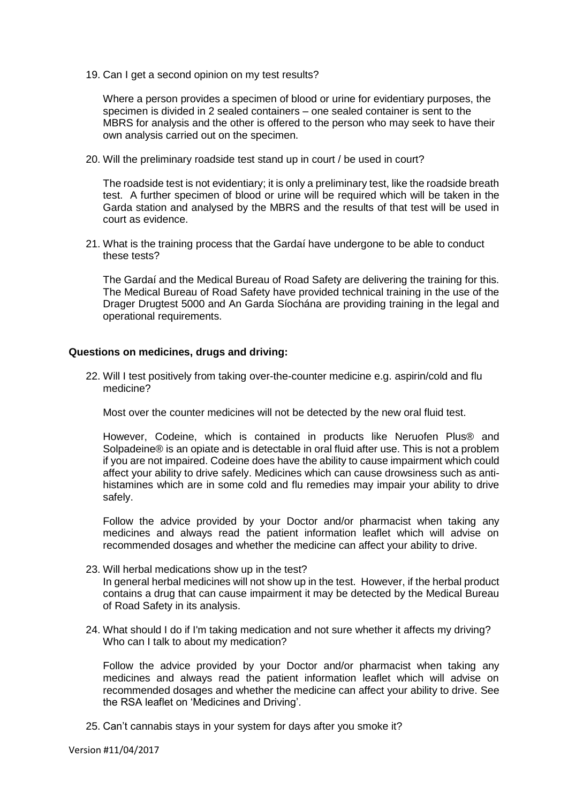19. Can I get a second opinion on my test results?

Where a person provides a specimen of blood or urine for evidentiary purposes, the specimen is divided in 2 sealed containers – one sealed container is sent to the MBRS for analysis and the other is offered to the person who may seek to have their own analysis carried out on the specimen.

20. Will the preliminary roadside test stand up in court / be used in court?

The roadside test is not evidentiary; it is only a preliminary test, like the roadside breath test. A further specimen of blood or urine will be required which will be taken in the Garda station and analysed by the MBRS and the results of that test will be used in court as evidence.

21. What is the training process that the Gardaí have undergone to be able to conduct these tests?

The Gardaí and the Medical Bureau of Road Safety are delivering the training for this. The Medical Bureau of Road Safety have provided technical training in the use of the Drager Drugtest 5000 and An Garda Síochána are providing training in the legal and operational requirements.

## **Questions on medicines, drugs and driving:**

22. Will I test positively from taking over-the-counter medicine e.g. aspirin/cold and flu medicine?

Most over the counter medicines will not be detected by the new oral fluid test.

However, Codeine, which is contained in products like Neruofen Plus® and Solpadeine® is an opiate and is detectable in oral fluid after use. This is not a problem if you are not impaired. Codeine does have the ability to cause impairment which could affect your ability to drive safely. Medicines which can cause drowsiness such as antihistamines which are in some cold and flu remedies may impair your ability to drive safely.

Follow the advice provided by your Doctor and/or pharmacist when taking any medicines and always read the patient information leaflet which will advise on recommended dosages and whether the medicine can affect your ability to drive.

- 23. Will herbal medications show up in the test? In general herbal medicines will not show up in the test. However, if the herbal product contains a drug that can cause impairment it may be detected by the Medical Bureau of Road Safety in its analysis.
- 24. What should I do if I'm taking medication and not sure whether it affects my driving? Who can I talk to about my medication?

Follow the advice provided by your Doctor and/or pharmacist when taking any medicines and always read the patient information leaflet which will advise on recommended dosages and whether the medicine can affect your ability to drive. See the RSA leaflet on 'Medicines and Driving'.

25. Can't cannabis stays in your system for days after you smoke it?